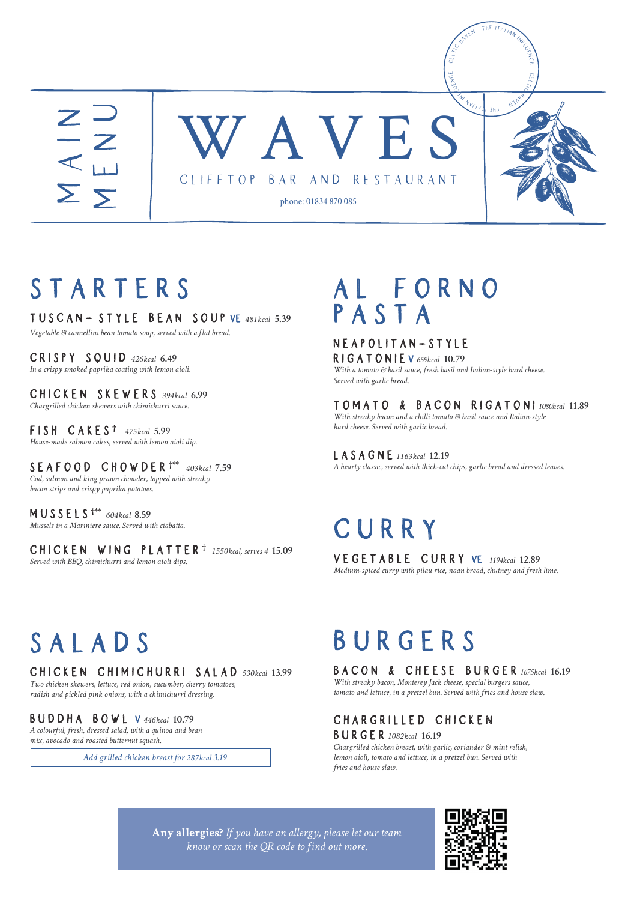

### STARTERS

Tuscan style Bean sou soup vE *481kcal* **5.39** *Vegetable & cannellini bean tomato soup, served with a flat bread.*

Crispy Squi Squid *<sup>426</sup>kcal* **6.49** *In a crispy smoked paprika coating with lemon aioli.*

Chicken Skewer Skewers *<sup>394</sup>kcal* **6.99** *Chargrilled chicken skewers with chimichurri sauce.*

Fish Cake Fish Cakes **†** *475kcal* **5.99** *House-made salmon cakes, served with lemon aioli dip.*

Seafood Chowde Chowder **†\*\*** *<sup>403</sup>kcal* **7.59** *Cod, salmon and king prawn chowder, topped with streaky bacon strips and crispy paprika potatoes.*

Mussels **†\*\*** *<sup>604</sup>kcal* **8.59** *Mussels in a Mariniere sauce. Served with ciabatta.*

Chicken Wing Platte Platter **†** *1550kcal, serves 4* **15.09** *Served with BBQ, chimichurri and lemon aioli dips.*

### A L F O R N O PASTA

NEAPOLITAN-STYLE Rigatonie v *659kcal* **10.79** *With a tomato & basil sauce, fresh basil and Italian-style hard cheese. Served with garlic bread.*

Tomato & Bacon Rigaton Tomato & Rigatoni *1080kcal* **11.89** *With streaky bacon and a chilli tomato & basil sauce and Italian-style hard cheese. Served with garlic bread.*

Lasagne *<sup>1163</sup>kcal* **12.19** *A hearty classic, served with thick-cut chips, garlic bread and dressed leaves.*

### **CURRY**

Vegetable curr curry vE *1194kcal* **12.89** *Medium-spiced curry with pilau rice, naan bread, chutney and fresh lime.*

## S A L A D S

Chicken Chimichurri sala salad *<sup>530</sup>kcal* **13.99** *Two chicken skewers, lettuce, red onion, cucumber, cherry tomatoes,* 

*radish and pickled pink onions, with a chimichurri dressing.*

#### Buddha bow bowL v *<sup>446</sup>kcal* **10.79**

*A colourful, fresh, dressed salad, with a quinoa and bean mix, avocado and roasted butternut squash.*

*Add grilled chicken breast for 287kcal 3.19*

### BURGERS

#### Bacon & Cheese Burge & Cheese Burger *1675kcal* **16.19**

*With streaky bacon, Monterey Jack cheese, special burgers sauce, tomato and lettuce, in a pretzel bun. Served with fries and house slaw.*

#### CHARGRILLED CHICKEN Burger *<sup>1082</sup>kcal* **16.19**

*Chargrilled chicken breast, with garlic, coriander & mint relish, lemon aioli, tomato and lettuce, in a pretzel bun. Served with fries and house slaw.*

**Any allergies?** *If you have an allergy, please let our team know or scan the QR code to find out more.*